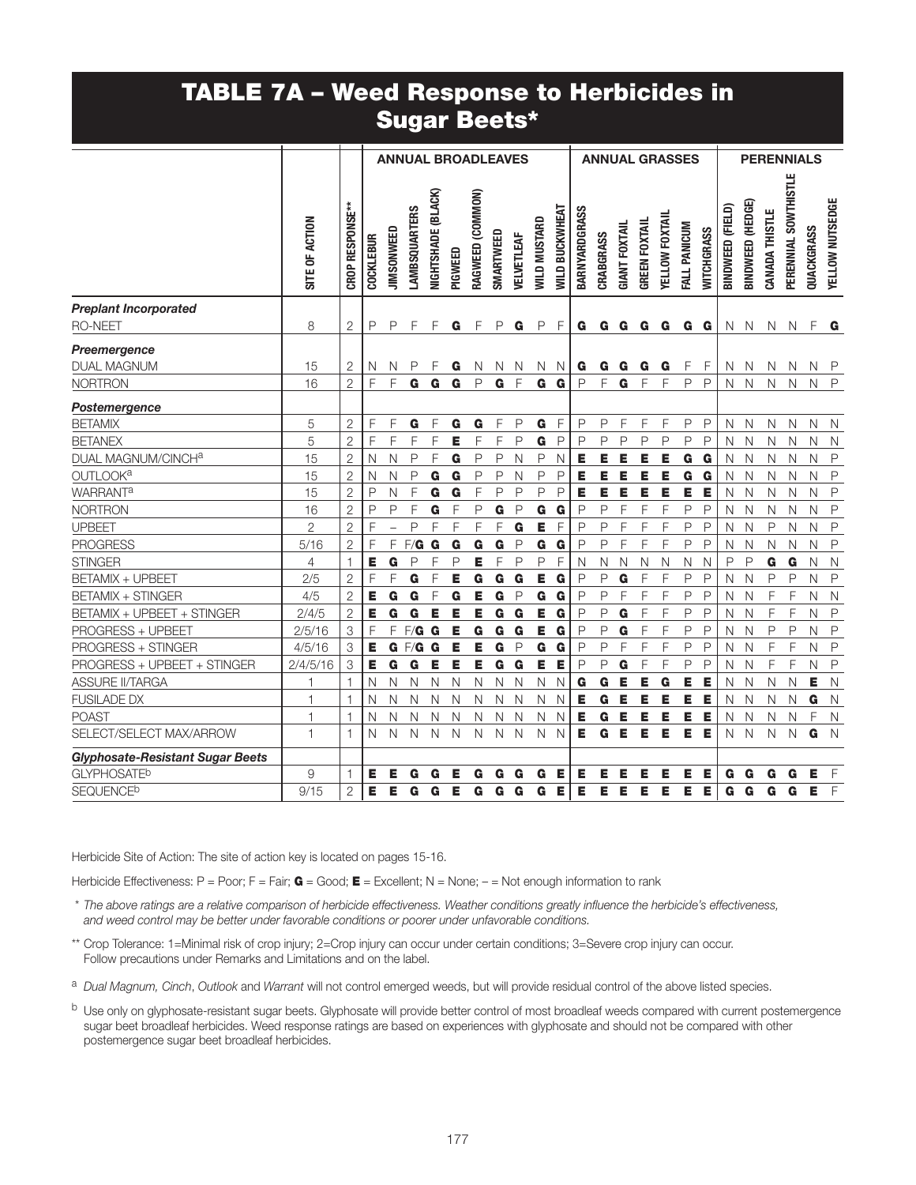## TABLE 7A – Weed Response to Herbicides in Sugar Beets\*

|                                         |                |                        | <b>ANNUAL BROADLEAVES</b> |                   |                      |                    | <b>ANNUAL GRASSES</b> |                  |              |              | <b>PERENNIALS</b>   |                |               |              |                      |                      |                |              |                   |                  |                  |                |                      |              |                 |
|-----------------------------------------|----------------|------------------------|---------------------------|-------------------|----------------------|--------------------|-----------------------|------------------|--------------|--------------|---------------------|----------------|---------------|--------------|----------------------|----------------------|----------------|--------------|-------------------|------------------|------------------|----------------|----------------------|--------------|-----------------|
|                                         | SITE OF ACTION | <b>CROP RESPONSE**</b> | <b>COCKLEBUR</b>          | JIMSONWEED        | <b>LAMBSQUARTERS</b> | NIGHTSHADE (BLACK) | PIGWEED               | RAGWEED (COMMON) | SMARTWEED    | VELVETLEAF   | <b>WILD MUSTARD</b> | WILD BUCKWHEAT | BARNYARDGRASS | CRABGRASS    | <b>GIANT FOXTAIL</b> | <b>GREEN FOXTAIL</b> | YELLOW FOXTAIL | FALL PANICUM | <b>WITCHGRASS</b> | BINDWEED (FIELD) | BINDWEED (HEDGE) | CANADA THISTLE | PERENNIAL SOWTHISTLE | QUACKGRASS   | YELLOW NUTSEDGE |
| <b>Preplant Incorporated</b>            |                |                        |                           |                   |                      |                    |                       |                  |              |              |                     |                |               |              |                      |                      |                |              |                   |                  |                  |                |                      |              |                 |
| <b>RO-NEET</b>                          | 8              | 2                      | P                         | P                 | F                    | F                  | G                     | F                | P            | G            | $\mathsf{P}$        | F              | G             | G            | G                    | G                    | G              |              | G <sub>G</sub>    | $\mathsf{N}$     | $\mathsf{N}$     | $\mathsf{N}$   | N                    | F            | G               |
| Preemergence                            |                |                        |                           |                   |                      |                    |                       |                  |              |              |                     |                |               |              |                      |                      |                |              |                   |                  |                  |                |                      |              |                 |
| <b>DUAL MAGNUM</b>                      | 15             | 2                      | N                         | N                 | P                    | F                  | G                     | N                | N            | N            | N.                  | <sup>N</sup>   | G             | G            | G                    | G                    | G              | F            | F                 | N                | $\mathbb N$      | N              | N.                   | N P          |                 |
| <b>NORTRON</b>                          | 16             | $\overline{2}$         | F                         | F                 | G                    | G                  | G                     | $\mathsf{P}$     | G            | F            | G                   | G              | P             | F            | G                    | F                    | F              | $\mathsf P$  | P                 | $\mathsf{N}$     | $\mathsf{N}$     | $\mathsf{N}$   | $\mathsf{N}$         | $\mathsf{N}$ | $\mathsf{P}$    |
| Postemergence                           |                |                        |                           |                   |                      |                    |                       |                  |              |              |                     |                |               |              |                      |                      |                |              |                   |                  |                  |                |                      |              |                 |
| <b>BETAMIX</b>                          | 5              | $\mathbf{2}$           | F                         | F                 | G                    | F                  | G                     | G                | F            | P            | G                   | F              | P             | P            | F                    | F                    | F              | P            | P                 | N                | N                | N              | N                    | N            | $\mathbb N$     |
| <b>BETANEX</b>                          | 5              | $\overline{2}$         | F                         | F                 | $\mathsf F$          | $\overline{F}$     | E                     | F                | F            | P            | G                   | $\mathsf{P}$   | $\mathsf{P}$  | P            | $\mathsf{P}$         | P                    | $\mathsf{P}$   | P            | P                 | $\mathsf{N}$     | $\mathsf{N}$     | $\mathsf{N}$   | N                    | $\mathsf{N}$ | $\mathbb N$     |
| DUAL MAGNUM/CINCHa                      | 15             | $\overline{2}$         | $\overline{N}$            | Ν                 | $\mathsf P$          | $\overline{F}$     | G                     | P                | P            | N            | P                   | N              | E             | E            | E                    | Е                    | Е              | G            | G                 | $\mathsf{N}$     | N                | $\mathsf{N}$   | $\mathsf{N}$         | $\mathsf{N}$ | $\mathsf{P}$    |
| OUTLOOK <sup>a</sup>                    | 15             | $\overline{2}$         | N                         | Ν                 | P                    | G                  | G                     | P                | P            | N            | P                   | $\mathsf{P}$   | Е             | Е            | Е                    | Е                    | Е              | G            | G                 | $\mathsf{N}$     | N                | N              | $\mathsf{N}$         | $\mathsf{N}$ | $\mathsf P$     |
| <b>WARRANT<sup>a</sup></b>              | 15             | $\overline{2}$         | P                         | Ν                 | F                    | G                  | G                     | F                | P            | P            | $\mathsf{P}$        | $\mathsf{P}$   | Е             | Е            | Е                    | Е                    | Е              | Е            | E                 | $\mathsf{N}$     | N                | $\mathsf{N}$   | $\mathsf{N}$         | $\mathsf{N}$ | $\mathsf P$     |
| <b>NORTRON</b>                          | 16             | $\overline{2}$         | P                         | P                 | F                    | G                  | F                     | $\mathsf{P}$     | G            | $\mathsf{P}$ | G                   | G              | P             | $\mathsf{P}$ | F                    | F                    | F              | P            | P                 | $\mathsf{N}$     | N                | $\mathsf{N}$   | N                    | $\mathsf{N}$ | $\mathsf{P}$    |
| <b>UPBEET</b>                           | $\overline{2}$ | $\overline{2}$         | F                         | $\qquad \qquad -$ | P                    | F                  | F                     | F                | F            | G            | Е                   | F              | P             | P            | F                    | F                    | F              | P            | P                 | N                | N                | P              | $\mathsf{N}$         | $\mathsf{N}$ | $\mathsf{P}$    |
| <b>PROGRESS</b>                         | 5/16           | $\overline{2}$         | F                         | F                 | F/G                  | G                  | G                     | G                | G            | $\mathsf{P}$ | G                   | G              | P             | $\mathsf{P}$ | F                    | F                    | F              | P            | P                 | N                | N                | N              | $\mathsf{N}$         | $\mathsf{N}$ | $\mathsf{P}$    |
| <b>STINGER</b>                          | $\overline{4}$ | 1                      | E                         | G                 | P                    | F                  | P                     | Е                | $\mathsf F$  | $\mathsf{P}$ | P                   | F              | $\mathsf{N}$  | $\mathsf N$  | $\mathsf{N}$         | N                    | $\mathsf{N}$   | $\hbox{N}$   | N                 | $\mathsf{P}$     | $\mathsf{P}$     | G              | G                    | $\mathsf N$  | $\mathsf{N}$    |
| <b>BETAMIX + UPBEET</b>                 | 2/5            | $\mathbf{2}$           | F                         | F                 | G                    | F                  | E                     | G                | G            | G            | Е                   | G              | $\mathsf{P}$  | P            | G                    | F                    | F              | P            | P                 | N                | N                | P              | $\mathsf{P}$         | $\mathbb N$  | $\mathsf{P}$    |
| <b>BETAMIX + STINGER</b>                | 4/5            | $\overline{2}$         | Е                         | G                 | G                    | F                  | G                     | Е                | G            | P            | G                   | G              | P             | $\mathsf{P}$ | F                    | F                    | F              | $\mathsf{P}$ | P                 | N                | N                | F              | F                    | N            | N               |
| BETAMIX + UPBEET + STINGER              | 2/4/5          | $\mathbf{2}$           | Е                         | G                 | G                    | Е                  | E                     | Е                | G            | G            | Е                   | G              | P             | $\mathsf{P}$ | G                    | F                    | F              | P            | P                 | N                | N                | F              | F                    | N            | $\mathsf{P}$    |
| PROGRESS + UPBEET                       | 2/5/16         | 3                      | F                         | F                 | F/G                  | G                  | Е                     | G                | G            | G            | Е                   | G              | P             | $\mathsf{P}$ | G                    | F                    | F              | P            | P                 | N                | N                | P              | P                    | N            | $\mathsf{P}$    |
| PROGRESS + STINGER                      | 4/5/16         | 3                      | Е                         |                   | $G$ $F/G$            | G                  | Е                     | Е                | G            | $\mathsf{P}$ | G                   | G              | $\mathsf{P}$  | $\mathsf{P}$ | F                    | F                    | F              | $\mathsf{P}$ | $\mathsf{P}$      | N                | N                | F              | F                    | N            | $\mathsf{P}$    |
| PROGRESS + UPBEET + STINGER             | 2/4/5/16       | 3                      | Е                         | G                 | G                    | E                  | E                     | E                | G            | G            | E                   | Е              | P             | P            | G                    | F                    | F              | $\mathsf{P}$ | $\mathsf{P}$      | N                | $\mathsf{N}$     | F              | $\mathsf F$          | $\mathsf{N}$ | $\mathsf{P}$    |
| <b>ASSURE II/TARGA</b>                  | 1              | $\mathbf{1}$           | N                         | N                 | N                    | $\mathsf{N}$       | N                     | $\mathsf{N}$     | N            | N            | $\mathsf{N}$        | N              | G             | G            | Е                    | Е                    | G              | E            | Е                 | N                | N                | N              | $\mathsf{N}$         | Е            | $\mathsf{N}$    |
| <b>FUSILADE DX</b>                      | $\mathbf{1}$   | $\overline{1}$         | N                         | N                 | N                    | $\mathsf{N}$       | N                     | N                | N            | N            | $\mathsf{N}$        | N              | Е             | G            | Е                    | Е                    | Е              | Е            | Е                 | N                | N                | N              | N                    | G            | $\mathbb N$     |
| <b>POAST</b>                            | $\mathbf{1}$   | $\mathbf{1}$           | Ν                         | N                 | N                    | $\mathsf{N}$       | N                     | $\mathsf{N}$     | $\mathsf{N}$ | N            | $\mathsf{N}$        | N              | E             | G            | Е                    | Е                    | Е              | E            | Е                 | N                | N                | Ν              | N                    | F            | $\mathsf{N}$    |
| SELECT/SELECT MAX/ARROW                 | $\overline{1}$ | $\mathbf{1}$           | N                         | N                 | $\mathsf{N}$         | $\mathbb N$        | N                     | N                | N            | N            | $\mathsf{N}$        | N              | Е             | G            | Е                    | Е                    | Е              | E            | Е                 | N                | N                | N              | N                    | G            | N               |
| <b>Glyphosate-Resistant Sugar Beets</b> |                |                        |                           |                   |                      |                    |                       |                  |              |              |                     |                |               |              |                      |                      |                |              |                   |                  |                  |                |                      |              |                 |
| <b>GLYPHOSATE<sup>b</sup></b>           | 9              | $\mathbf{1}$           | Е                         | Е                 | G                    | G                  | Е                     | G                | G            | G            | G                   | Е              | Е             | Е            | Е                    | Е                    | Е              | Е            | Е                 | G                | G                | G              | G                    | Е            | $\overline{F}$  |
| <b>SEQUENCE<sup>b</sup></b>             | 9/15           | $\mathbf{2}$           | Е                         | Е                 | G                    | G                  | E                     | G                | G            | G            | G                   | Е              | Е             | Е            | Е                    | Е                    | Е              | Е            | Е                 | G                | G                | G              | G                    | E            | $\overline{F}$  |

Herbicide Site of Action: The site of action key is located on pages 15-16.

Herbicide Effectiveness: P = Poor; F = Fair;  $\bf{G}$  = Good;  $\bf{E}$  = Excellent; N = None; - = Not enough information to rank

- \* *The above ratings are a relative comparison of herbicide effectiveness. Weather conditions greatly influence the herbicide's effectiveness, and weed control may be better under favorable conditions or poorer under unfavorable conditions.*
- \*\* Crop Tolerance: 1=Minimal risk of crop injury; 2=Crop injury can occur under certain conditions; 3=Severe crop injury can occur. Follow precautions under Remarks and Limitations and on the label.

<sup>a</sup> *Dual Magnum, Cinch*, *Outlook* and *Warrant* will not control emerged weeds, but will provide residual control of the above listed species.

b Use only on glyphosate-resistant sugar beets. Glyphosate will provide better control of most broadleaf weeds compared with current postemergence sugar beet broadleaf herbicides. Weed response ratings are based on experiences with glyphosate and should not be compared with other postemergence sugar beet broadleaf herbicides.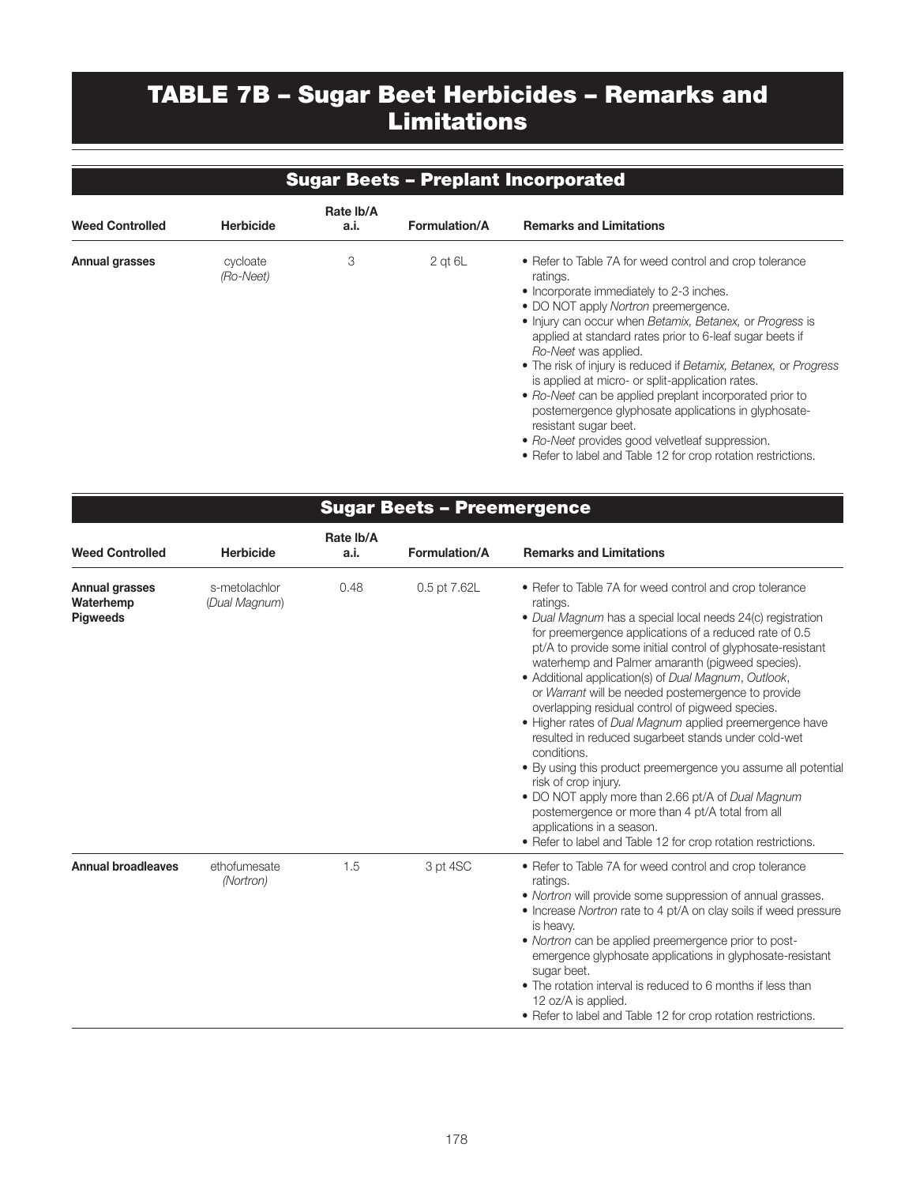# TABLE 7B – Sugar Beet Herbicides – Remarks and Limitations

### Sugar Beets – Preplant Incorporated

| <b>Weed Controlled</b> | <b>Herbicide</b>      | Rate Ib/A<br>a.i. | <b>Formulation/A</b> | <b>Remarks and Limitations</b>                                                                                                                                                                                                                                                                                                                                                                                                                                                                                                                                                                                                                                                                  |
|------------------------|-----------------------|-------------------|----------------------|-------------------------------------------------------------------------------------------------------------------------------------------------------------------------------------------------------------------------------------------------------------------------------------------------------------------------------------------------------------------------------------------------------------------------------------------------------------------------------------------------------------------------------------------------------------------------------------------------------------------------------------------------------------------------------------------------|
| Annual grasses         | cycloate<br>(Ro-Neet) | 3                 | $2$ at $6L$          | • Refer to Table 7A for weed control and crop tolerance<br>ratings.<br>• Incorporate immediately to 2-3 inches.<br>• DO NOT apply Nortron preemergence.<br>• Injury can occur when Betamix, Betanex, or Progress is<br>applied at standard rates prior to 6-leaf sugar beets if<br>Ro-Neet was applied.<br>• The risk of injury is reduced if Betamix, Betanex, or Progress<br>is applied at micro- or split-application rates.<br>• Ro-Neet can be applied preplant incorporated prior to<br>postemergence glyphosate applications in glyphosate-<br>resistant sugar beet.<br>• Ro-Neet provides good velvetleaf suppression.<br>• Refer to label and Table 12 for crop rotation restrictions. |

### Sugar Beets – Preemergence

| <b>Weed Controlled</b>                                | <b>Herbicide</b>               | Rate Ib/A<br>a.i. | <b>Formulation/A</b> | <b>Remarks and Limitations</b>                                                                                                                                                                                                                                                                                                                                                                                                                                                                                                                                                                                                                                                                                                                                                                                                                                                                                     |
|-------------------------------------------------------|--------------------------------|-------------------|----------------------|--------------------------------------------------------------------------------------------------------------------------------------------------------------------------------------------------------------------------------------------------------------------------------------------------------------------------------------------------------------------------------------------------------------------------------------------------------------------------------------------------------------------------------------------------------------------------------------------------------------------------------------------------------------------------------------------------------------------------------------------------------------------------------------------------------------------------------------------------------------------------------------------------------------------|
| <b>Annual grasses</b><br>Waterhemp<br><b>Pigweeds</b> | s-metolachlor<br>(Dual Magnum) | 0.48              | 0.5 pt 7.62L         | • Refer to Table 7A for weed control and crop tolerance<br>ratings.<br>• Dual Magnum has a special local needs 24(c) registration<br>for preemergence applications of a reduced rate of 0.5<br>pt/A to provide some initial control of glyphosate-resistant<br>waterhemp and Palmer amaranth (pigweed species).<br>• Additional application(s) of Dual Magnum, Outlook,<br>or Warrant will be needed postemergence to provide<br>overlapping residual control of pigweed species.<br>• Higher rates of Dual Magnum applied preemergence have<br>resulted in reduced sugarbeet stands under cold-wet<br>conditions.<br>• By using this product preemergence you assume all potential<br>risk of crop injury.<br>• DO NOT apply more than 2.66 pt/A of Dual Magnum<br>postemergence or more than 4 pt/A total from all<br>applications in a season.<br>• Refer to label and Table 12 for crop rotation restrictions. |
| <b>Annual broadleaves</b>                             | ethofumesate<br>(Nortron)      | 1.5               | 3 pt 4SC             | • Refer to Table 7A for weed control and crop tolerance<br>ratings.<br>• Nortron will provide some suppression of annual grasses.<br>• Increase Nortron rate to 4 pt/A on clay soils if weed pressure<br>is heavy.<br>• Nortron can be applied preemergence prior to post-<br>emergence glyphosate applications in glyphosate-resistant<br>sugar beet.<br>• The rotation interval is reduced to 6 months if less than<br>12 oz/A is applied.<br>• Refer to label and Table 12 for crop rotation restrictions.                                                                                                                                                                                                                                                                                                                                                                                                      |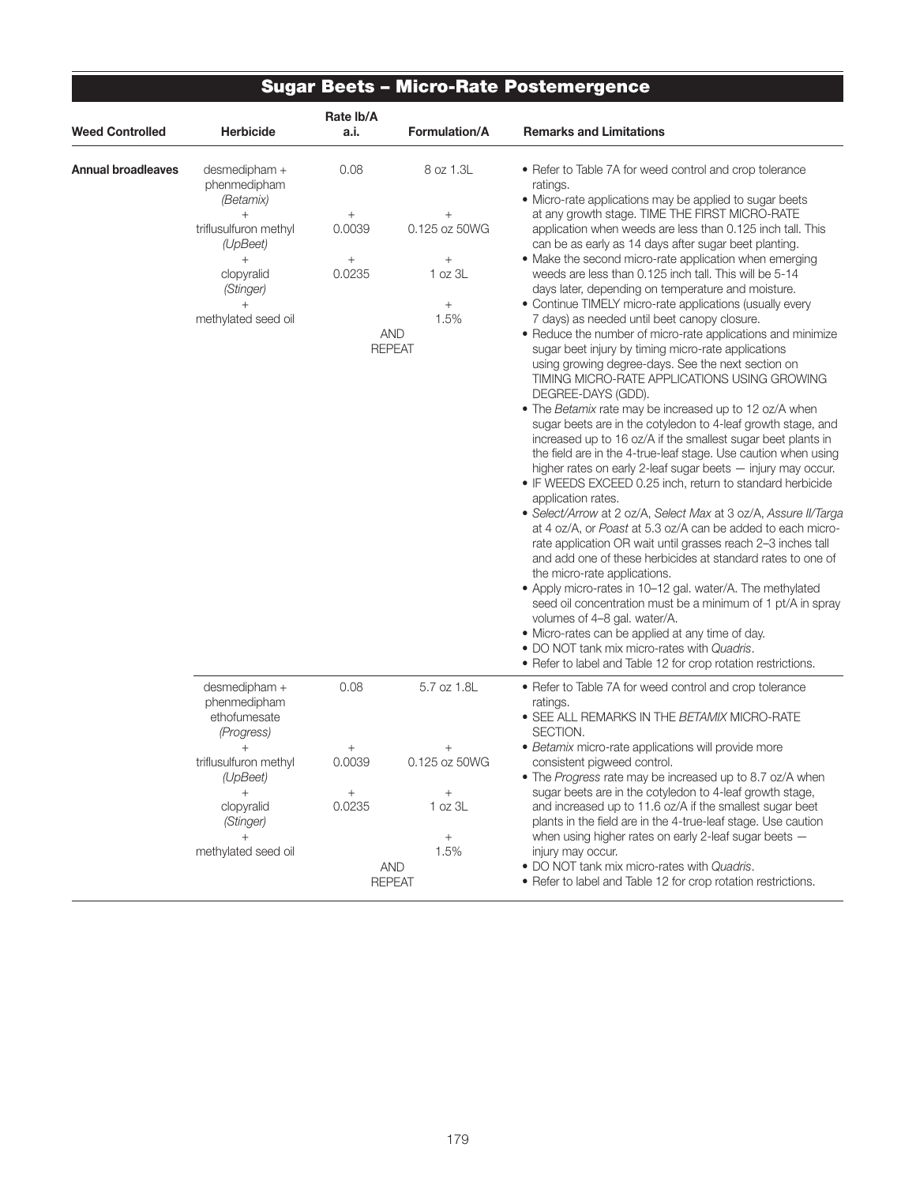## Sugar Beets – Micro-Rate Postemergence

|                           |                                                             | Rate Ib/A        |                                               |                                                                                                                                                                                                                                                                                                                                                                                                                                                                                                                                                                                                                                                                                                                                                                                                                                                                                                                                                                                                                                                                                                                                                                                                                                                                                                                                                                                                            |  |  |  |
|---------------------------|-------------------------------------------------------------|------------------|-----------------------------------------------|------------------------------------------------------------------------------------------------------------------------------------------------------------------------------------------------------------------------------------------------------------------------------------------------------------------------------------------------------------------------------------------------------------------------------------------------------------------------------------------------------------------------------------------------------------------------------------------------------------------------------------------------------------------------------------------------------------------------------------------------------------------------------------------------------------------------------------------------------------------------------------------------------------------------------------------------------------------------------------------------------------------------------------------------------------------------------------------------------------------------------------------------------------------------------------------------------------------------------------------------------------------------------------------------------------------------------------------------------------------------------------------------------------|--|--|--|
| <b>Weed Controlled</b>    | <b>Herbicide</b>                                            | a.i.             | <b>Formulation/A</b>                          | <b>Remarks and Limitations</b>                                                                                                                                                                                                                                                                                                                                                                                                                                                                                                                                                                                                                                                                                                                                                                                                                                                                                                                                                                                                                                                                                                                                                                                                                                                                                                                                                                             |  |  |  |
| <b>Annual broadleaves</b> | desmedipham +<br>phenmedipham<br>(Betamix)                  | 0.08             | 8 oz 1.3L                                     | • Refer to Table 7A for weed control and crop tolerance<br>ratings.<br>• Micro-rate applications may be applied to sugar beets                                                                                                                                                                                                                                                                                                                                                                                                                                                                                                                                                                                                                                                                                                                                                                                                                                                                                                                                                                                                                                                                                                                                                                                                                                                                             |  |  |  |
|                           | $^{+}$<br>triflusulfuron methyl<br>(UpBeet)                 | $^{+}$<br>0.0039 | $^{+}$<br>0.125 oz 50WG                       | at any growth stage. TIME THE FIRST MICRO-RATE<br>application when weeds are less than 0.125 inch tall. This<br>can be as early as 14 days after sugar beet planting.                                                                                                                                                                                                                                                                                                                                                                                                                                                                                                                                                                                                                                                                                                                                                                                                                                                                                                                                                                                                                                                                                                                                                                                                                                      |  |  |  |
|                           | $^{+}$<br>clopyralid<br>(Stinger)                           | $^{+}$<br>0.0235 | $+$<br>1 oz 3L                                | • Make the second micro-rate application when emerging<br>weeds are less than 0.125 inch tall. This will be 5-14<br>days later, depending on temperature and moisture.                                                                                                                                                                                                                                                                                                                                                                                                                                                                                                                                                                                                                                                                                                                                                                                                                                                                                                                                                                                                                                                                                                                                                                                                                                     |  |  |  |
|                           | $^{+}$<br>methylated seed oil                               |                  | $^{+}$<br>1.5%<br><b>AND</b><br><b>REPEAT</b> | • Continue TIMELY micro-rate applications (usually every<br>7 days) as needed until beet canopy closure.<br>• Reduce the number of micro-rate applications and minimize<br>sugar beet injury by timing micro-rate applications<br>using growing degree-days. See the next section on<br>TIMING MICRO-RATE APPLICATIONS USING GROWING<br>DEGREE-DAYS (GDD).<br>• The Betamix rate may be increased up to 12 oz/A when<br>sugar beets are in the cotyledon to 4-leaf growth stage, and<br>increased up to 16 oz/A if the smallest sugar beet plants in<br>the field are in the 4-true-leaf stage. Use caution when using<br>higher rates on early 2-leaf sugar beets - injury may occur.<br>• IF WEEDS EXCEED 0.25 inch, return to standard herbicide<br>application rates.<br>• Select/Arrow at 2 oz/A, Select Max at 3 oz/A, Assure II/Targa<br>at 4 oz/A, or Poast at 5.3 oz/A can be added to each micro-<br>rate application OR wait until grasses reach 2-3 inches tall<br>and add one of these herbicides at standard rates to one of<br>the micro-rate applications.<br>• Apply micro-rates in 10–12 gal. water/A. The methylated<br>seed oil concentration must be a minimum of 1 pt/A in spray<br>volumes of 4-8 gal. water/A.<br>• Micro-rates can be applied at any time of day.<br>. DO NOT tank mix micro-rates with Quadris.<br>• Refer to label and Table 12 for crop rotation restrictions. |  |  |  |
|                           | desmedipham +<br>phenmedipham<br>ethofumesate<br>(Progress) | 0.08             | 5.7 oz 1.8L                                   | • Refer to Table 7A for weed control and crop tolerance<br>ratings.<br>• SEE ALL REMARKS IN THE BETAMIX MICRO-RATE<br>SECTION.                                                                                                                                                                                                                                                                                                                                                                                                                                                                                                                                                                                                                                                                                                                                                                                                                                                                                                                                                                                                                                                                                                                                                                                                                                                                             |  |  |  |
|                           | $^{+}$<br>triflusulfuron methyl<br>(UpBeet)<br>$^{+}$       | $^{+}$<br>0.0039 | $^{+}$<br>0.125 oz 50WG<br>$+$                | • Betamix micro-rate applications will provide more<br>consistent pigweed control.<br>• The Progress rate may be increased up to 8.7 oz/A when                                                                                                                                                                                                                                                                                                                                                                                                                                                                                                                                                                                                                                                                                                                                                                                                                                                                                                                                                                                                                                                                                                                                                                                                                                                             |  |  |  |
|                           | clopyralid<br>(Stinger)<br>methylated seed oil              | 0.0235           | 1 oz 3L<br>$+$<br>1.5%                        | sugar beets are in the cotyledon to 4-leaf growth stage,<br>and increased up to 11.6 oz/A if the smallest sugar beet<br>plants in the field are in the 4-true-leaf stage. Use caution<br>when using higher rates on early 2-leaf sugar beets -<br>injury may occur.                                                                                                                                                                                                                                                                                                                                                                                                                                                                                                                                                                                                                                                                                                                                                                                                                                                                                                                                                                                                                                                                                                                                        |  |  |  |
|                           |                                                             |                  | <b>AND</b><br><b>REPEAT</b>                   | . DO NOT tank mix micro-rates with Quadris.<br>• Refer to label and Table 12 for crop rotation restrictions.                                                                                                                                                                                                                                                                                                                                                                                                                                                                                                                                                                                                                                                                                                                                                                                                                                                                                                                                                                                                                                                                                                                                                                                                                                                                                               |  |  |  |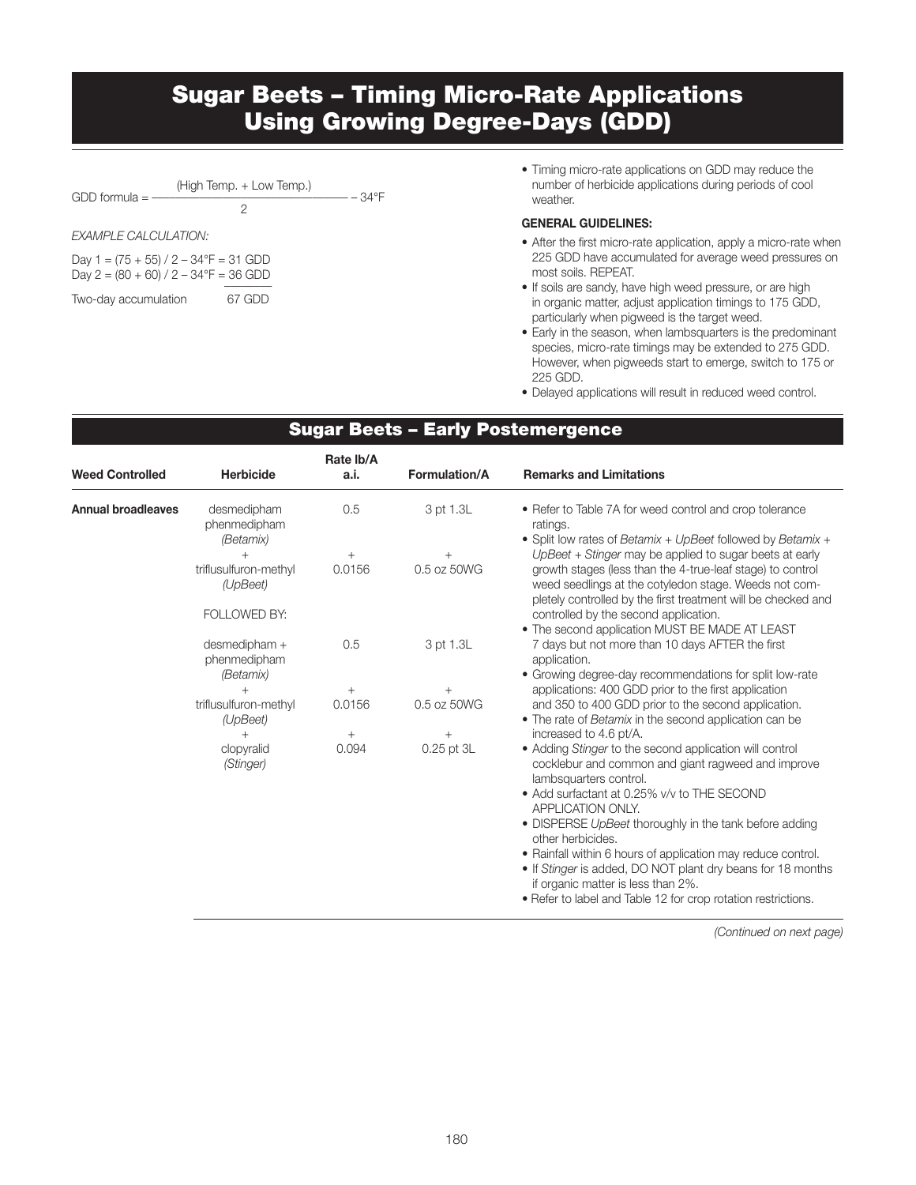### Sugar Beets – Timing Micro-Rate Applications Using Growing Degree-Days (GDD)

| GDD formula $=$ $-$  | (High Temp. + Low Temp.)              | $-34^{\circ}F$ |  |  |  |  |  |
|----------------------|---------------------------------------|----------------|--|--|--|--|--|
| EXAMPLE CALCULATION: |                                       |                |  |  |  |  |  |
|                      | Day 1 – (75 + 55) / 2 – 34 F – 31 GDD |                |  |  |  |  |  |

Day 1 = (75 + 55) / 2 – 34°F = 31 GDD Day  $2 = (80 + 60) / 2 - 34$ °F = 36 GDD

| Two-day accumulation | 67 GDD |
|----------------------|--------|
|                      |        |

• Timing micro-rate applications on GDD may reduce the number of herbicide applications during periods of cool weather.

#### GENERAL GUIDELINES:

- After the first micro-rate application, apply a micro-rate when 225 GDD have accumulated for average weed pressures on most soils. REPEAT.
- If soils are sandy, have high weed pressure, or are high in organic matter, adjust application timings to 175 GDD, particularly when pigweed is the target weed.
- Early in the season, when lambsquarters is the predominant species, micro-rate timings may be extended to 275 GDD. However, when pigweeds start to emerge, switch to 175 or 225 GDD.
- Delayed applications will result in reduced weed control.

#### Annual broadleaves desmedipham 0.5 3 pt 1.3L • Refer to Table 7A for weed control and crop tolerance phenmedipham ratings. *(Betamix)* • Split low rates of *Betamix* + *UpBeet* followed by *Betamix* + + + + *UpBeet* + *Stinger* may be applied to sugar beets at early triflusulfuron-methyl 0.0156 0.5 oz 50WG growth stages (less than the 4-true-leaf stage) to control *(UpBeet)* weed seedlings at the cotyledon stage. Weeds not completely controlled by the first treatment will be checked and FOLLOWED BY: controlled by the second application. • The second application MUST BE MADE AT LEAST desmedipham + 0.5 3 pt 1.3L 7 days but not more than 10 days AFTER the first phenmedipham application. *(Betamix)* • Growing degree-day recommendations for split low-rate +<br>triflusulfuron-methyl  $+$  +  $-$  400 GDD prior to the first application<br>triflusulfuron-methyl 0.0156 0.5 oz 50WG and 350 to 400 GDD prior to the second application 0.0156 0.5 oz 50WG and 350 to 400 GDD prior to the second application. *(UpBeet)* • The rate of *Betamix* in the second application can be + + + increased to 4.6 pt/A. clopyralid 0.094 0.25 pt 3L • Adding *Stinger* to the second application will control *(Stinger)* cocklebur and common and giant ragweed and improve lambsquarters control. • Add surfactant at 0.25% v/v to THE SECOND APPLICATION ONLY. • DISPERSE *UpBeet* thoroughly in the tank before adding other herbicides. • Rainfall within 6 hours of application may reduce control. • If *Stinger* is added, DO NOT plant dry beans for 18 months if organic matter is less than 2%. • Refer to label and Table 12 for crop rotation restrictions. Rate lb/A Weed Controlled Herbicide a.i. Formulation/A Remarks and Limitations

Sugar Beets – Early Postemergence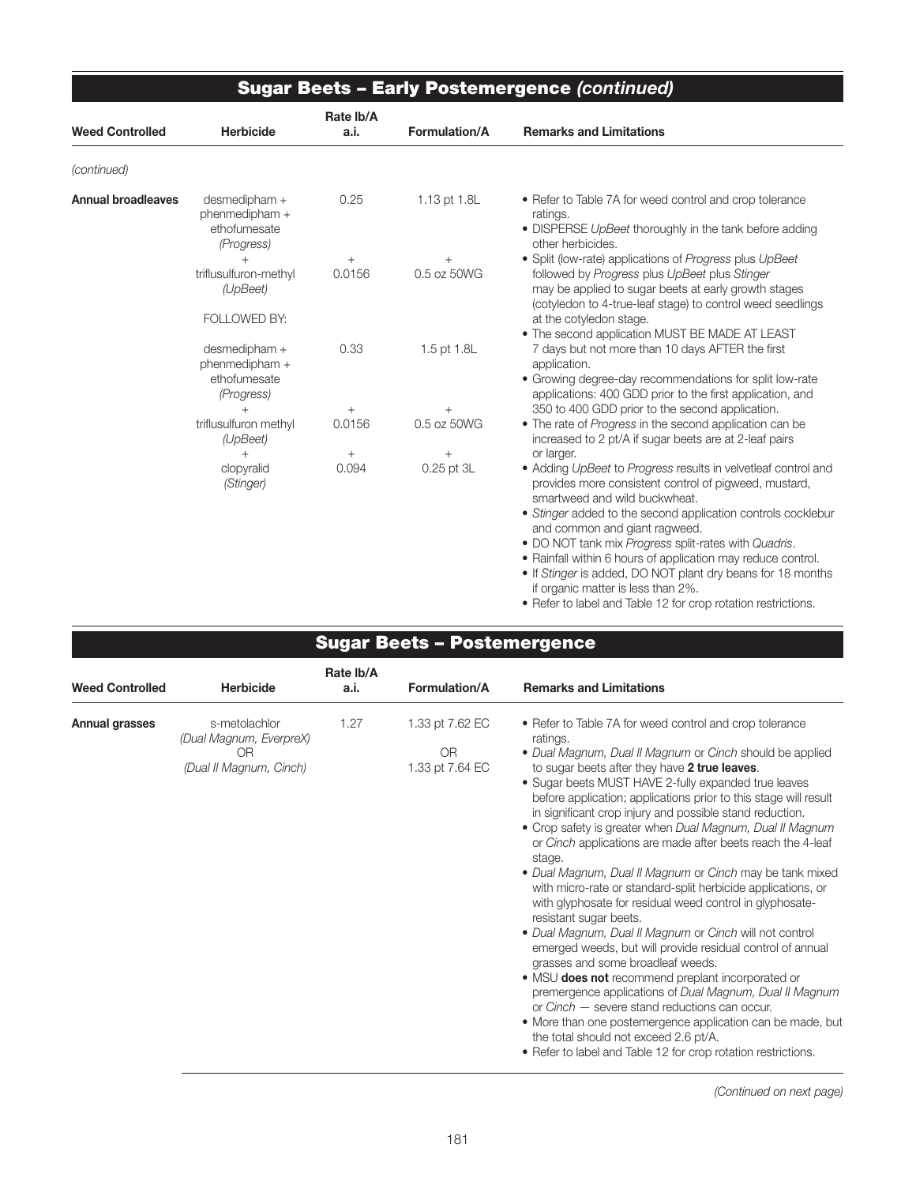|                           | <b>Sugar Beets - Early Postemergence (continued)</b>          |                   |                      |                                                                                                                                                                                                                                                                                                                                                                                                                                                                                                                                                                      |  |  |  |  |
|---------------------------|---------------------------------------------------------------|-------------------|----------------------|----------------------------------------------------------------------------------------------------------------------------------------------------------------------------------------------------------------------------------------------------------------------------------------------------------------------------------------------------------------------------------------------------------------------------------------------------------------------------------------------------------------------------------------------------------------------|--|--|--|--|
| <b>Weed Controlled</b>    | <b>Herbicide</b>                                              | Rate Ib/A<br>a.i. | Formulation/A        | <b>Remarks and Limitations</b>                                                                                                                                                                                                                                                                                                                                                                                                                                                                                                                                       |  |  |  |  |
| (continued)               |                                                               |                   |                      |                                                                                                                                                                                                                                                                                                                                                                                                                                                                                                                                                                      |  |  |  |  |
| <b>Annual broadleaves</b> | desmedipham +<br>phenmedipham +<br>ethofumesate<br>(Progress) | 0.25              | 1.13 pt 1.8L         | • Refer to Table 7A for weed control and crop tolerance<br>ratings.<br>• DISPERSE UpBeet thoroughly in the tank before adding<br>other herbicides.                                                                                                                                                                                                                                                                                                                                                                                                                   |  |  |  |  |
|                           | $^{+}$<br>triflusulfuron-methyl<br>(UpBeet)                   | $^{+}$<br>0.0156  | 0.5 oz 50WG          | • Split (low-rate) applications of Progress plus UpBeet<br>followed by Progress plus UpBeet plus Stinger<br>may be applied to sugar beets at early growth stages<br>(cotyledon to 4-true-leaf stage) to control weed seedlings                                                                                                                                                                                                                                                                                                                                       |  |  |  |  |
|                           | FOLLOWED BY:                                                  |                   |                      | at the cotyledon stage.<br>• The second application MUST BE MADE AT LEAST                                                                                                                                                                                                                                                                                                                                                                                                                                                                                            |  |  |  |  |
|                           | desmedipham +<br>phenmedipham +<br>ethofumesate<br>(Progress) | 0.33              | 1.5 pt 1.8L          | 7 days but not more than 10 days AFTER the first<br>application.<br>• Growing degree-day recommendations for split low-rate<br>applications: 400 GDD prior to the first application, and                                                                                                                                                                                                                                                                                                                                                                             |  |  |  |  |
|                           |                                                               | $^{+}$            |                      | 350 to 400 GDD prior to the second application.                                                                                                                                                                                                                                                                                                                                                                                                                                                                                                                      |  |  |  |  |
|                           | triflusulfuron methyl<br>(UpBeet)                             | 0.0156            | 0.5 oz 50WG          | • The rate of Progress in the second application can be<br>increased to 2 pt/A if sugar beets are at 2-leaf pairs                                                                                                                                                                                                                                                                                                                                                                                                                                                    |  |  |  |  |
|                           | clopyralid<br>(Stinger)                                       | $^{+}$<br>0.094   | $^{+}$<br>0.25 pt 3L | or larger.<br>• Adding UpBeet to Progress results in velvetleaf control and<br>provides more consistent control of pigweed, mustard,<br>smartweed and wild buckwheat.<br>• Stinger added to the second application controls cocklebur<br>and common and giant ragweed.<br>. DO NOT tank mix Progress split-rates with Quadris.<br>• Rainfall within 6 hours of application may reduce control.<br>• If Stinger is added, DO NOT plant dry beans for 18 months<br>if organic matter is less than 2%.<br>• Refer to label and Table 12 for crop rotation restrictions. |  |  |  |  |

| <b>Sugar Beets - Postemergence</b> |
|------------------------------------|
|------------------------------------|

| <b>Weed Controlled</b> | <b>Herbicide</b>                                                          | Rate Ib/A<br>a.i. | <b>Formulation/A</b>                                 | <b>Remarks and Limitations</b>                                                                                                                                                                                                                                                                                                                                                                                                                                                                                                                                                                                                                                                                                                                                                                                                                                                                                                                                                                                                                                                                                                                                                                                                                 |
|------------------------|---------------------------------------------------------------------------|-------------------|------------------------------------------------------|------------------------------------------------------------------------------------------------------------------------------------------------------------------------------------------------------------------------------------------------------------------------------------------------------------------------------------------------------------------------------------------------------------------------------------------------------------------------------------------------------------------------------------------------------------------------------------------------------------------------------------------------------------------------------------------------------------------------------------------------------------------------------------------------------------------------------------------------------------------------------------------------------------------------------------------------------------------------------------------------------------------------------------------------------------------------------------------------------------------------------------------------------------------------------------------------------------------------------------------------|
| Annual grasses         | s-metolachlor<br>(Dual Magnum, EverpreX)<br>OR<br>(Dual II Magnum, Cinch) | 1.27              | 1.33 pt 7.62 EC<br>0 <sub>R</sub><br>1.33 pt 7.64 EC | • Refer to Table 7A for weed control and crop tolerance<br>ratings.<br>• Dual Magnum, Dual II Magnum or Cinch should be applied<br>to sugar beets after they have 2 true leaves.<br>• Sugar beets MUST HAVE 2-fully expanded true leaves<br>before application; applications prior to this stage will result<br>in significant crop injury and possible stand reduction.<br>• Crop safety is greater when Dual Magnum, Dual II Magnum<br>or Cinch applications are made after beets reach the 4-leaf<br>stage.<br>• Dual Magnum, Dual II Magnum or Cinch may be tank mixed<br>with micro-rate or standard-split herbicide applications, or<br>with glyphosate for residual weed control in glyphosate-<br>resistant sugar beets.<br>• Dual Magnum, Dual II Magnum or Cinch will not control<br>emerged weeds, but will provide residual control of annual<br>grasses and some broadleaf weeds.<br>• MSU <b>does not</b> recommend preplant incorporated or<br>premergence applications of Dual Magnum, Dual II Magnum<br>or Cinch – severe stand reductions can occur.<br>• More than one postemergence application can be made, but<br>the total should not exceed 2.6 pt/A.<br>• Refer to label and Table 12 for crop rotation restrictions. |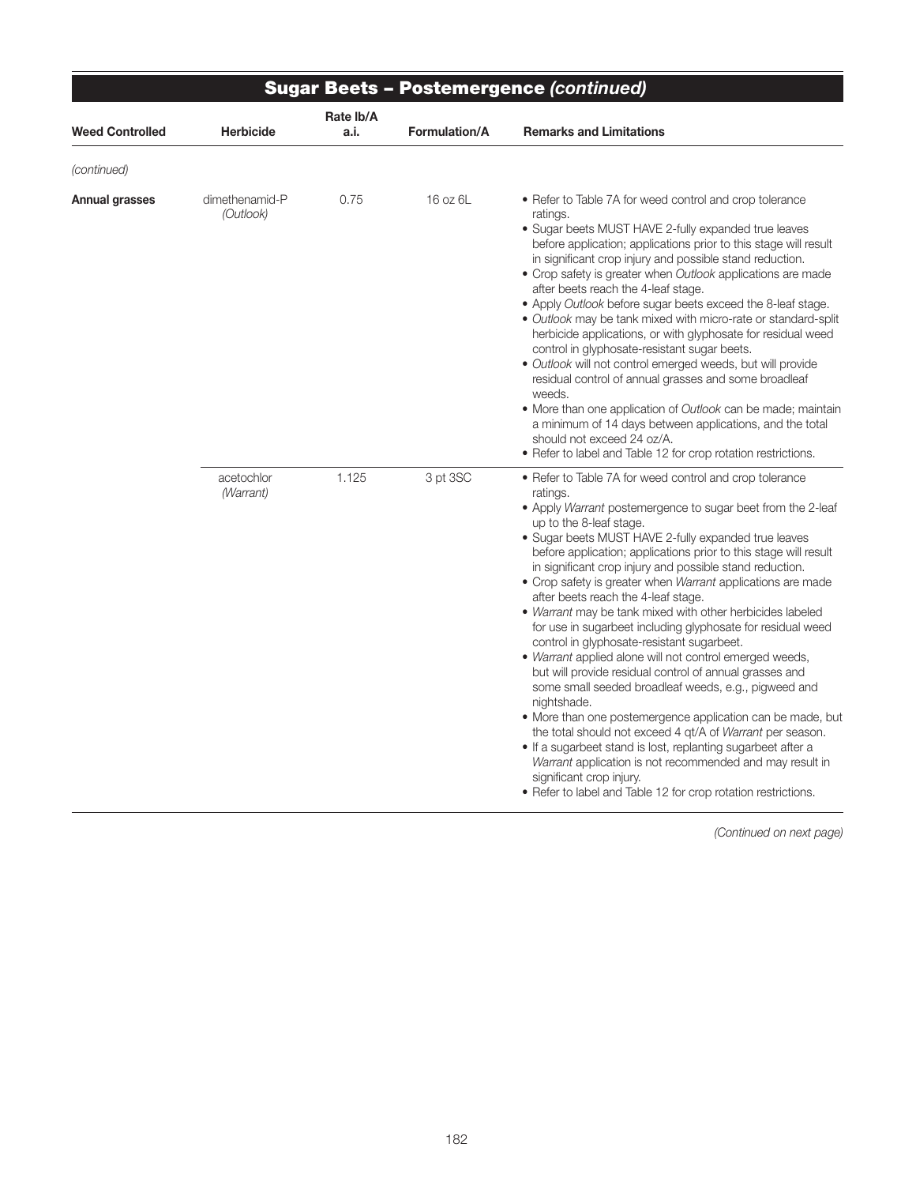|                        |                             |                   |                      | <b>Sugar Beets - Postemergence (continued)</b>                                                                                                                                                                                                                                                                                                                                                                                                                                                                                                                                                                                                                                                                                                                                                                                                                                                                                                                                                                                                                                                                                                                                         |  |  |  |  |
|------------------------|-----------------------------|-------------------|----------------------|----------------------------------------------------------------------------------------------------------------------------------------------------------------------------------------------------------------------------------------------------------------------------------------------------------------------------------------------------------------------------------------------------------------------------------------------------------------------------------------------------------------------------------------------------------------------------------------------------------------------------------------------------------------------------------------------------------------------------------------------------------------------------------------------------------------------------------------------------------------------------------------------------------------------------------------------------------------------------------------------------------------------------------------------------------------------------------------------------------------------------------------------------------------------------------------|--|--|--|--|
| <b>Weed Controlled</b> | <b>Herbicide</b>            | Rate Ib/A<br>a.i. | <b>Formulation/A</b> | <b>Remarks and Limitations</b>                                                                                                                                                                                                                                                                                                                                                                                                                                                                                                                                                                                                                                                                                                                                                                                                                                                                                                                                                                                                                                                                                                                                                         |  |  |  |  |
| (continued)            |                             |                   |                      |                                                                                                                                                                                                                                                                                                                                                                                                                                                                                                                                                                                                                                                                                                                                                                                                                                                                                                                                                                                                                                                                                                                                                                                        |  |  |  |  |
| <b>Annual grasses</b>  | dimethenamid-P<br>(Outlook) | 0.75              | 16 oz 6L             | • Refer to Table 7A for weed control and crop tolerance<br>ratings.<br>• Sugar beets MUST HAVE 2-fully expanded true leaves<br>before application; applications prior to this stage will result<br>in significant crop injury and possible stand reduction.<br>• Crop safety is greater when Outlook applications are made<br>after beets reach the 4-leaf stage.<br>• Apply Outlook before sugar beets exceed the 8-leaf stage.<br>• Outlook may be tank mixed with micro-rate or standard-split<br>herbicide applications, or with glyphosate for residual weed<br>control in glyphosate-resistant sugar beets.<br>· Outlook will not control emerged weeds, but will provide<br>residual control of annual grasses and some broadleaf<br>weeds.<br>• More than one application of Outlook can be made; maintain<br>a minimum of 14 days between applications, and the total<br>should not exceed 24 oz/A.<br>• Refer to label and Table 12 for crop rotation restrictions.                                                                                                                                                                                                          |  |  |  |  |
|                        | acetochlor<br>(Warrant)     | 1.125             | 3 pt 3SC             | • Refer to Table 7A for weed control and crop tolerance<br>ratings.<br>• Apply Warrant postemergence to sugar beet from the 2-leaf<br>up to the 8-leaf stage.<br>• Sugar beets MUST HAVE 2-fully expanded true leaves<br>before application; applications prior to this stage will result<br>in significant crop injury and possible stand reduction.<br>• Crop safety is greater when Warrant applications are made<br>after beets reach the 4-leaf stage.<br>. Warrant may be tank mixed with other herbicides labeled<br>for use in sugarbeet including glyphosate for residual weed<br>control in glyphosate-resistant sugarbeet.<br>• Warrant applied alone will not control emerged weeds,<br>but will provide residual control of annual grasses and<br>some small seeded broadleaf weeds, e.g., pigweed and<br>nightshade.<br>• More than one postemergence application can be made, but<br>the total should not exceed 4 qt/A of Warrant per season.<br>• If a sugarbeet stand is lost, replanting sugarbeet after a<br>Warrant application is not recommended and may result in<br>significant crop injury.<br>• Refer to label and Table 12 for crop rotation restrictions. |  |  |  |  |

*<sup>(</sup>Continued on next page)*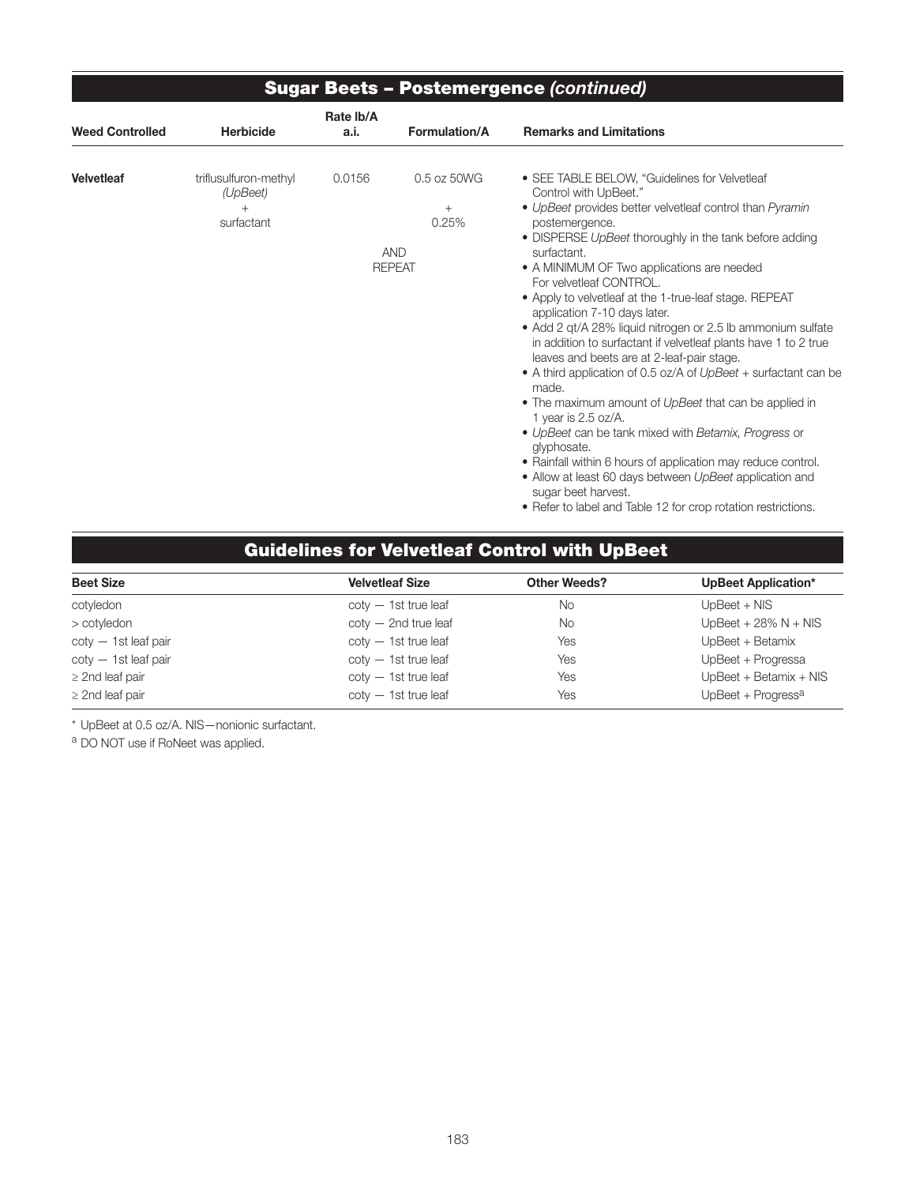| <b>Sugar Beets - Postemergence (continued)</b> |                                                 |                   |                                                               |                                                                                                                                                                                                                                                                                                                                                                                                                                                                                                                                                                                                                                                                                                                                                                                                                                                                                                                                                                                                                                          |  |  |  |  |
|------------------------------------------------|-------------------------------------------------|-------------------|---------------------------------------------------------------|------------------------------------------------------------------------------------------------------------------------------------------------------------------------------------------------------------------------------------------------------------------------------------------------------------------------------------------------------------------------------------------------------------------------------------------------------------------------------------------------------------------------------------------------------------------------------------------------------------------------------------------------------------------------------------------------------------------------------------------------------------------------------------------------------------------------------------------------------------------------------------------------------------------------------------------------------------------------------------------------------------------------------------------|--|--|--|--|
| <b>Weed Controlled</b>                         | <b>Herbicide</b>                                | Rate Ib/A<br>a.i. | Formulation/A                                                 | <b>Remarks and Limitations</b>                                                                                                                                                                                                                                                                                                                                                                                                                                                                                                                                                                                                                                                                                                                                                                                                                                                                                                                                                                                                           |  |  |  |  |
| <b>Velvetleaf</b>                              | triflusulfuron-methyl<br>(UpBeet)<br>surfactant | 0.0156            | 0.5 oz 50WG<br>$^{+}$<br>0.25%<br><b>AND</b><br><b>REPEAT</b> | • SEE TABLE BELOW, "Guidelines for Velvetleaf<br>Control with UpBeet."<br>• UpBeet provides better velvetleaf control than Pyramin<br>postemergence.<br>• DISPERSE UpBeet thoroughly in the tank before adding<br>surfactant.<br>• A MINIMUM OF Two applications are needed<br>For velvetleaf CONTROL.<br>• Apply to velvetleaf at the 1-true-leaf stage. REPEAT<br>application 7-10 days later.<br>• Add 2 qt/A 28% liquid nitrogen or 2.5 lb ammonium sulfate<br>in addition to surfactant if velvetleaf plants have 1 to 2 true<br>leaves and beets are at 2-leaf-pair stage.<br>• A third application of 0.5 oz/A of UpBeet + surfactant can be<br>made.<br>• The maximum amount of UpBeet that can be applied in<br>1 year is $2.5$ oz/A.<br>• UpBeet can be tank mixed with Betamix, Progress or<br>glyphosate.<br>• Rainfall within 6 hours of application may reduce control.<br>• Allow at least 60 days between UpBeet application and<br>sugar beet harvest.<br>• Refer to label and Table 12 for crop rotation restrictions. |  |  |  |  |

## Guidelines for Velvetleaf Control with UpBeet

| <b>Beet Size</b>          | <b>Velvetleaf Size</b>    | <b>Other Weeds?</b> | UpBeet Application*      |
|---------------------------|---------------------------|---------------------|--------------------------|
| cotyledon                 | $\cot v - 1$ st true leaf | No.                 | $UpBeet + NIS$           |
| > cotyledon               | $\cot y - 2nd$ true leaf  | No.                 | UpBeet + $28\%$ N + NIS  |
| $\cot v - 1$ st leaf pair | $\cot v - 1$ st true leaf | Yes                 | UpBeet + Betamix         |
| $\cot y - 1$ st leaf pair | $\cot y - 1$ st true leaf | Yes                 | UpBeet + Progressa       |
| $\geq$ 2nd leaf pair      | $\cot v - 1$ st true leaf | Yes                 | $UpBeet + Betamix + NIS$ |
| $\geq$ 2nd leaf pair      | $\cot y - 1$ st true leaf | Yes                 | UpBeet + Progressa       |

\* UpBeet at 0.5 oz/A. NIS—nonionic surfactant.

a DO NOT use if RoNeet was applied.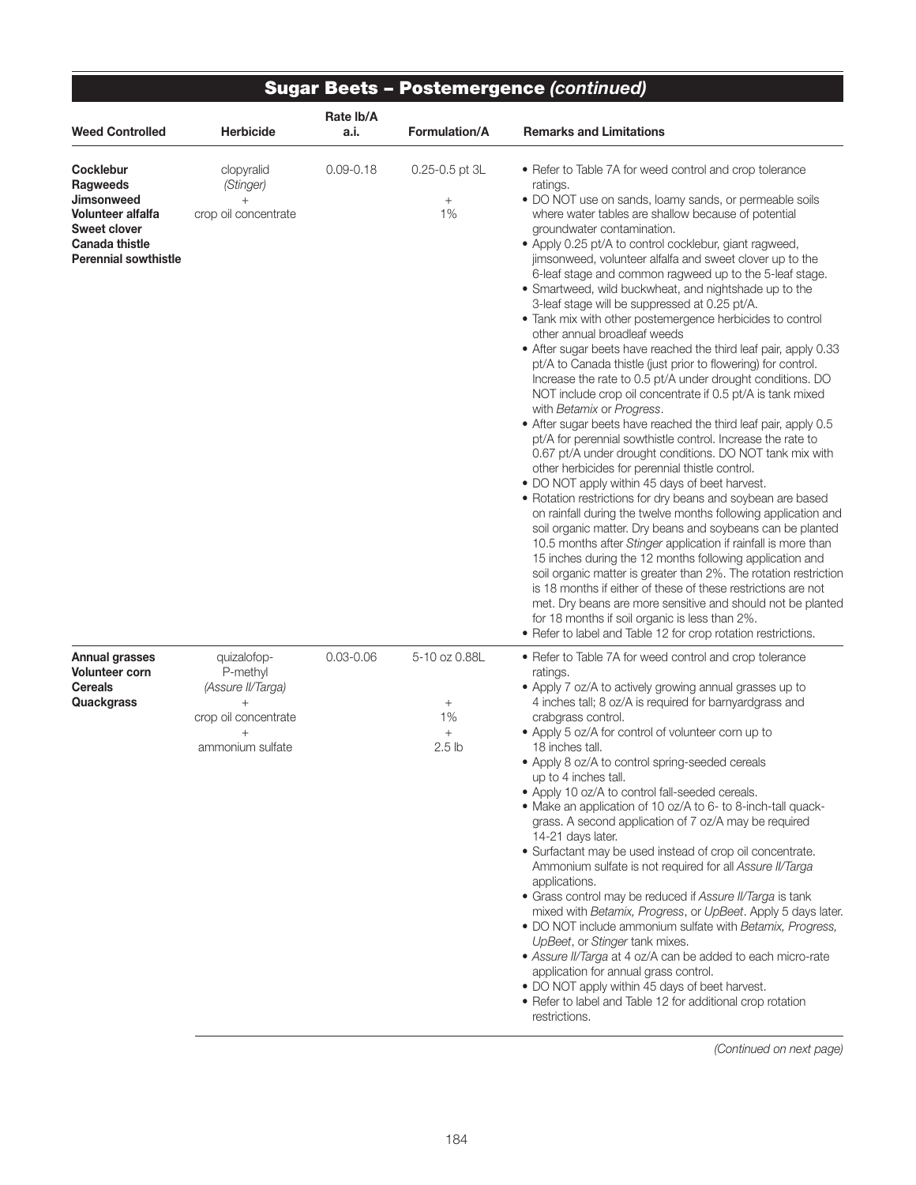| <b>Sugar Beets - Postemergence (continued)</b>                                                                                   |                                                                                                           |                   |                                                           |                                                                                                                                                                                                                                                                                                                                                                                                                                                                                                                                                                                                                                                                                                                                                                                                                                                                                                                                                                                                                                                                                                                                                                                                                                                                                                                                                                                                                                                                                                                                                                                                                                                                                                                                                                                                                                                                 |
|----------------------------------------------------------------------------------------------------------------------------------|-----------------------------------------------------------------------------------------------------------|-------------------|-----------------------------------------------------------|-----------------------------------------------------------------------------------------------------------------------------------------------------------------------------------------------------------------------------------------------------------------------------------------------------------------------------------------------------------------------------------------------------------------------------------------------------------------------------------------------------------------------------------------------------------------------------------------------------------------------------------------------------------------------------------------------------------------------------------------------------------------------------------------------------------------------------------------------------------------------------------------------------------------------------------------------------------------------------------------------------------------------------------------------------------------------------------------------------------------------------------------------------------------------------------------------------------------------------------------------------------------------------------------------------------------------------------------------------------------------------------------------------------------------------------------------------------------------------------------------------------------------------------------------------------------------------------------------------------------------------------------------------------------------------------------------------------------------------------------------------------------------------------------------------------------------------------------------------------------|
| <b>Weed Controlled</b>                                                                                                           | <b>Herbicide</b>                                                                                          | Rate lb/A<br>a.i. | <b>Formulation/A</b>                                      | <b>Remarks and Limitations</b>                                                                                                                                                                                                                                                                                                                                                                                                                                                                                                                                                                                                                                                                                                                                                                                                                                                                                                                                                                                                                                                                                                                                                                                                                                                                                                                                                                                                                                                                                                                                                                                                                                                                                                                                                                                                                                  |
| Cocklebur<br>Ragweeds<br>Jimsonweed<br>Volunteer alfalfa<br><b>Sweet clover</b><br>Canada thistle<br><b>Perennial sowthistle</b> | clopyralid<br>(Stinger)<br>$^{+}$<br>crop oil concentrate                                                 | $0.09 - 0.18$     | $0.25 - 0.5$ pt $3L$<br>$^{+}$<br>1%                      | • Refer to Table 7A for weed control and crop tolerance<br>ratings.<br>• DO NOT use on sands, loamy sands, or permeable soils<br>where water tables are shallow because of potential<br>groundwater contamination.<br>• Apply 0.25 pt/A to control cocklebur, giant ragweed,<br>jimsonweed, volunteer alfalfa and sweet clover up to the<br>6-leaf stage and common ragweed up to the 5-leaf stage.<br>• Smartweed, wild buckwheat, and nightshade up to the<br>3-leaf stage will be suppressed at 0.25 pt/A.<br>. Tank mix with other postemergence herbicides to control<br>other annual broadleaf weeds<br>• After sugar beets have reached the third leaf pair, apply 0.33<br>pt/A to Canada thistle (just prior to flowering) for control.<br>Increase the rate to 0.5 pt/A under drought conditions. DO<br>NOT include crop oil concentrate if 0.5 pt/A is tank mixed<br>with Betamix or Progress.<br>• After sugar beets have reached the third leaf pair, apply 0.5<br>pt/A for perennial sowthistle control. Increase the rate to<br>0.67 pt/A under drought conditions. DO NOT tank mix with<br>other herbicides for perennial thistle control.<br>• DO NOT apply within 45 days of beet harvest.<br>• Rotation restrictions for dry beans and soybean are based<br>on rainfall during the twelve months following application and<br>soil organic matter. Dry beans and soybeans can be planted<br>10.5 months after Stinger application if rainfall is more than<br>15 inches during the 12 months following application and<br>soil organic matter is greater than 2%. The rotation restriction<br>is 18 months if either of these of these restrictions are not<br>met. Dry beans are more sensitive and should not be planted<br>for 18 months if soil organic is less than 2%.<br>• Refer to label and Table 12 for crop rotation restrictions. |
| <b>Annual grasses</b><br><b>Volunteer corn</b><br><b>Cereals</b><br>Quackgrass                                                   | quizalofop-<br>P-methyl<br>(Assure II/Targa)<br>$\! +$<br>crop oil concentrate<br>$+$<br>ammonium sulfate | $0.03 - 0.06$     | 5-10 oz 0.88L<br>$\! + \!\!\!\!$<br>1%<br>$+$<br>$2.5$ lb | • Refer to Table 7A for weed control and crop tolerance<br>ratings.<br>• Apply 7 oz/A to actively growing annual grasses up to<br>4 inches tall; 8 oz/A is required for barnyardgrass and<br>crabgrass control.<br>• Apply 5 oz/A for control of volunteer corn up to<br>18 inches tall.<br>• Apply 8 oz/A to control spring-seeded cereals<br>up to 4 inches tall.<br>• Apply 10 oz/A to control fall-seeded cereals.<br>• Make an application of 10 oz/A to 6- to 8-inch-tall quack-<br>grass. A second application of 7 oz/A may be required<br>14-21 days later.<br>• Surfactant may be used instead of crop oil concentrate.<br>Ammonium sulfate is not required for all Assure II/Targa<br>applications.<br>• Grass control may be reduced if Assure II/Targa is tank<br>mixed with Betamix, Progress, or UpBeet. Apply 5 days later.<br>• DO NOT include ammonium sulfate with Betamix, Progress,<br>UpBeet, or Stinger tank mixes.<br>• Assure II/Targa at 4 oz/A can be added to each micro-rate<br>application for annual grass control.<br>• DO NOT apply within 45 days of beet harvest.<br>• Refer to label and Table 12 for additional crop rotation<br>restrictions.                                                                                                                                                                                                                                                                                                                                                                                                                                                                                                                                                                                                                                                                             |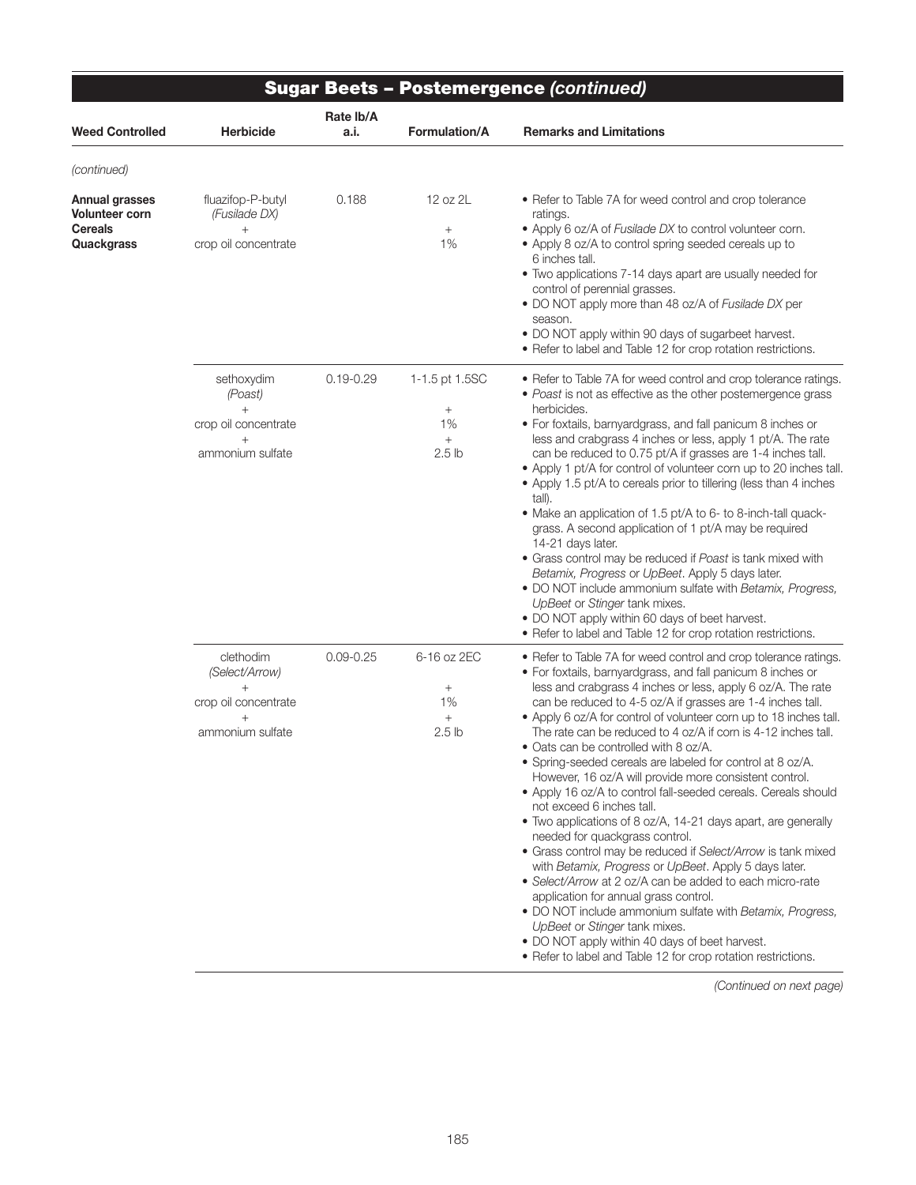| <b>Sugar Beets - Postemergence (continued)</b>                   |                                                                                       |                   |                                                                                 |                                                                                                                                                                                                                                                                                                                                                                                                                                                                                                                                                                                                                                                                                                                                                                                                                                                                                                                                                                                                                                                                                                                                                                                                                        |
|------------------------------------------------------------------|---------------------------------------------------------------------------------------|-------------------|---------------------------------------------------------------------------------|------------------------------------------------------------------------------------------------------------------------------------------------------------------------------------------------------------------------------------------------------------------------------------------------------------------------------------------------------------------------------------------------------------------------------------------------------------------------------------------------------------------------------------------------------------------------------------------------------------------------------------------------------------------------------------------------------------------------------------------------------------------------------------------------------------------------------------------------------------------------------------------------------------------------------------------------------------------------------------------------------------------------------------------------------------------------------------------------------------------------------------------------------------------------------------------------------------------------|
| Weed Controlled                                                  | <b>Herbicide</b>                                                                      | Rate lb/A<br>a.i. | <b>Formulation/A</b>                                                            | <b>Remarks and Limitations</b>                                                                                                                                                                                                                                                                                                                                                                                                                                                                                                                                                                                                                                                                                                                                                                                                                                                                                                                                                                                                                                                                                                                                                                                         |
| (continued)                                                      |                                                                                       |                   |                                                                                 |                                                                                                                                                                                                                                                                                                                                                                                                                                                                                                                                                                                                                                                                                                                                                                                                                                                                                                                                                                                                                                                                                                                                                                                                                        |
| Annual grasses<br>Volunteer corn<br><b>Cereals</b><br>Quackgrass | fluazifop-P-butyl<br>(Fusilade DX)<br>$^{+}$<br>crop oil concentrate                  | 0.188             | 12 oz 2L<br>$\! + \!\!\!\!$<br>1%                                               | • Refer to Table 7A for weed control and crop tolerance<br>ratings.<br>• Apply 6 oz/A of Fusilade DX to control volunteer corn.<br>• Apply 8 oz/A to control spring seeded cereals up to<br>6 inches tall.<br>• Two applications 7-14 days apart are usually needed for<br>control of perennial grasses.<br>. DO NOT apply more than 48 oz/A of Fusilade DX per<br>season.<br>. DO NOT apply within 90 days of sugarbeet harvest.<br>• Refer to label and Table 12 for crop rotation restrictions.                                                                                                                                                                                                                                                                                                                                                                                                                                                                                                                                                                                                                                                                                                                     |
|                                                                  | sethoxydim<br>(Poast)<br>$^{+}$<br>crop oil concentrate<br>$^{+}$<br>ammonium sulfate | $0.19 - 0.29$     | 1-1.5 pt 1.5SC<br>$\! + \!\!\!\!$<br>1%<br>$\! + \!\!\!\!$<br>2.5 <sub>lb</sub> | • Refer to Table 7A for weed control and crop tolerance ratings.<br>· Poast is not as effective as the other postemergence grass<br>herbicides.<br>• For foxtails, barnyardgrass, and fall panicum 8 inches or<br>less and crabgrass 4 inches or less, apply 1 pt/A. The rate<br>can be reduced to 0.75 pt/A if grasses are 1-4 inches tall.<br>• Apply 1 pt/A for control of volunteer corn up to 20 inches tall.<br>• Apply 1.5 pt/A to cereals prior to tillering (less than 4 inches<br>tall).<br>• Make an application of 1.5 pt/A to 6- to 8-inch-tall quack-<br>grass. A second application of 1 pt/A may be required<br>14-21 days later.<br>• Grass control may be reduced if Poast is tank mixed with<br>Betamix, Progress or UpBeet. Apply 5 days later.<br>. DO NOT include ammonium sulfate with Betamix, Progress,<br>UpBeet or Stinger tank mixes.<br>• DO NOT apply within 60 days of beet harvest.<br>• Refer to label and Table 12 for crop rotation restrictions.                                                                                                                                                                                                                                   |
|                                                                  | clethodim<br>(Select/Arrow)<br>$+$<br>crop oil concentrate<br>ammonium sulfate        | $0.09 - 0.25$     | 6-16 oz 2EC<br>$\! + \!\!\!\!$<br>1%<br>$^{+}$<br>2.5 lb                        | • Refer to Table 7A for weed control and crop tolerance ratings.<br>• For foxtails, barnyardgrass, and fall panicum 8 inches or<br>less and crabgrass 4 inches or less, apply 6 oz/A. The rate<br>can be reduced to 4-5 oz/A if grasses are 1-4 inches tall.<br>• Apply 6 oz/A for control of volunteer corn up to 18 inches tall.<br>The rate can be reduced to 4 oz/A if corn is 4-12 inches tall.<br>• Oats can be controlled with 8 oz/A.<br>• Spring-seeded cereals are labeled for control at 8 oz/A.<br>However, 16 oz/A will provide more consistent control.<br>• Apply 16 oz/A to control fall-seeded cereals. Cereals should<br>not exceed 6 inches tall.<br>• Two applications of 8 oz/A, 14-21 days apart, are generally<br>needed for quackgrass control.<br>• Grass control may be reduced if Select/Arrow is tank mixed<br>with Betamix, Progress or UpBeet. Apply 5 days later.<br>• Select/Arrow at 2 oz/A can be added to each micro-rate<br>application for annual grass control.<br>• DO NOT include ammonium sulfate with Betamix, Progress,<br>UpBeet or Stinger tank mixes.<br>• DO NOT apply within 40 days of beet harvest.<br>• Refer to label and Table 12 for crop rotation restrictions. |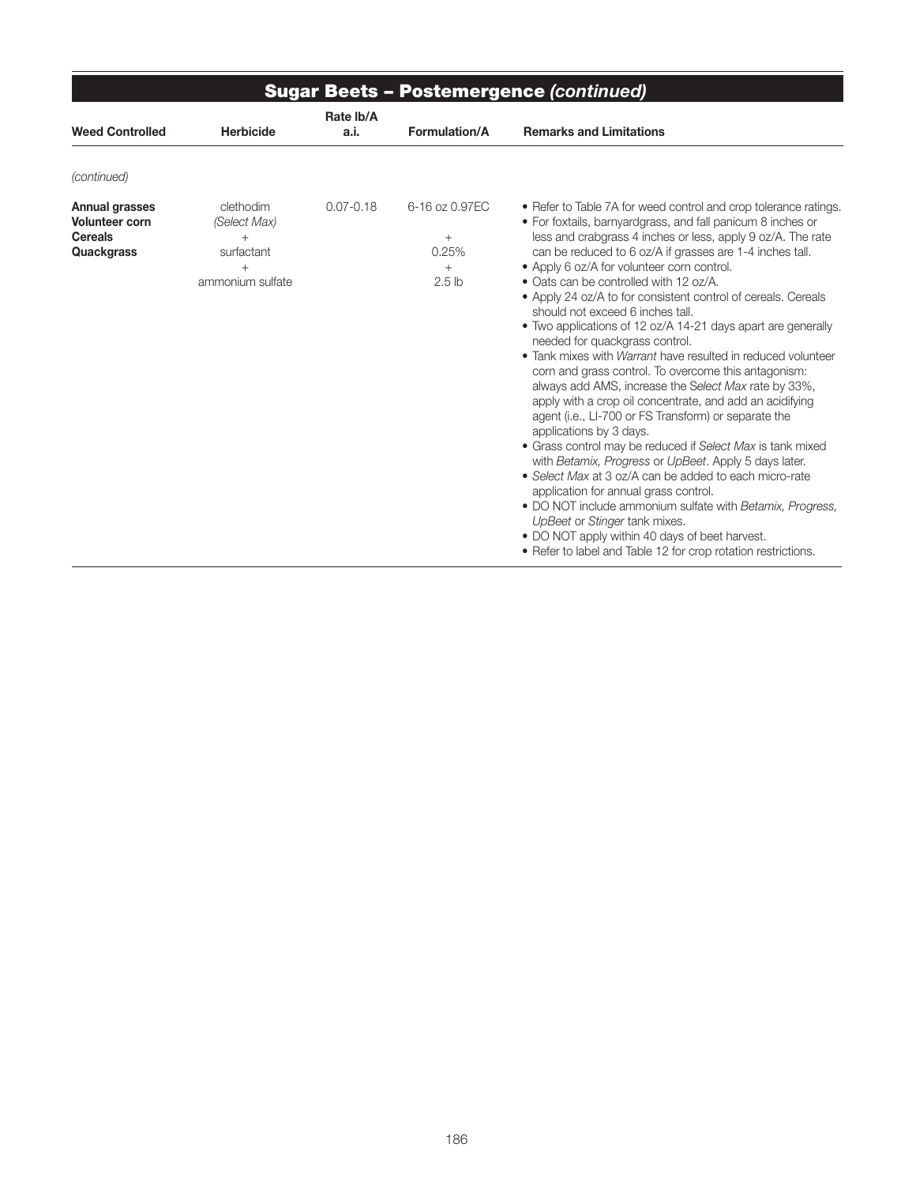| <b>Sugar Beets - Postemergence (continued)</b>                                 |                                                                       |                   |                                                         |                                                                                                                                                                                                                                                                                                                                                                                                                                                                                                                                                                                                                                                                                                                                                                                                                                                                                                                                                                                                                                                                                                                                                                                                                                                                                                                                            |  |
|--------------------------------------------------------------------------------|-----------------------------------------------------------------------|-------------------|---------------------------------------------------------|--------------------------------------------------------------------------------------------------------------------------------------------------------------------------------------------------------------------------------------------------------------------------------------------------------------------------------------------------------------------------------------------------------------------------------------------------------------------------------------------------------------------------------------------------------------------------------------------------------------------------------------------------------------------------------------------------------------------------------------------------------------------------------------------------------------------------------------------------------------------------------------------------------------------------------------------------------------------------------------------------------------------------------------------------------------------------------------------------------------------------------------------------------------------------------------------------------------------------------------------------------------------------------------------------------------------------------------------|--|
| <b>Weed Controlled</b>                                                         | <b>Herbicide</b>                                                      | Rate Ib/A<br>a.i. | Formulation/A                                           | <b>Remarks and Limitations</b>                                                                                                                                                                                                                                                                                                                                                                                                                                                                                                                                                                                                                                                                                                                                                                                                                                                                                                                                                                                                                                                                                                                                                                                                                                                                                                             |  |
| (continued)                                                                    |                                                                       |                   |                                                         |                                                                                                                                                                                                                                                                                                                                                                                                                                                                                                                                                                                                                                                                                                                                                                                                                                                                                                                                                                                                                                                                                                                                                                                                                                                                                                                                            |  |
| Annual grasses<br><b>Volunteer corn</b><br><b>Cereals</b><br><b>Quackgrass</b> | clethodim<br>(Select Max)<br>$^{+}$<br>surfactant<br>ammonium sulfate | $0.07 - 0.18$     | 6-16 oz 0.97EC<br>$^{+}$<br>0.25%<br>$^{+}$<br>$2.5$ lb | • Refer to Table 7A for weed control and crop tolerance ratings.<br>• For foxtails, barnyardgrass, and fall panicum 8 inches or<br>less and crabgrass 4 inches or less, apply 9 oz/A. The rate<br>can be reduced to 6 oz/A if grasses are 1-4 inches tall.<br>• Apply 6 oz/A for volunteer corn control.<br>• Oats can be controlled with 12 oz/A.<br>• Apply 24 oz/A to for consistent control of cereals. Cereals<br>should not exceed 6 inches tall.<br>• Two applications of 12 oz/A 14-21 days apart are generally<br>needed for quackgrass control.<br>• Tank mixes with <i>Warrant</i> have resulted in reduced volunteer<br>corn and grass control. To overcome this antagonism:<br>always add AMS, increase the Select Max rate by 33%,<br>apply with a crop oil concentrate, and add an acidifying<br>agent (i.e., LI-700 or FS Transform) or separate the<br>applications by 3 days.<br>• Grass control may be reduced if Select Max is tank mixed<br>with Betamix, Progress or UpBeet. Apply 5 days later.<br>• Select Max at 3 oz/A can be added to each micro-rate<br>application for annual grass control.<br>. DO NOT include ammonium sulfate with Betamix, Progress,<br>UpBeet or Stinger tank mixes.<br>• DO NOT apply within 40 days of beet harvest.<br>• Refer to label and Table 12 for crop rotation restrictions. |  |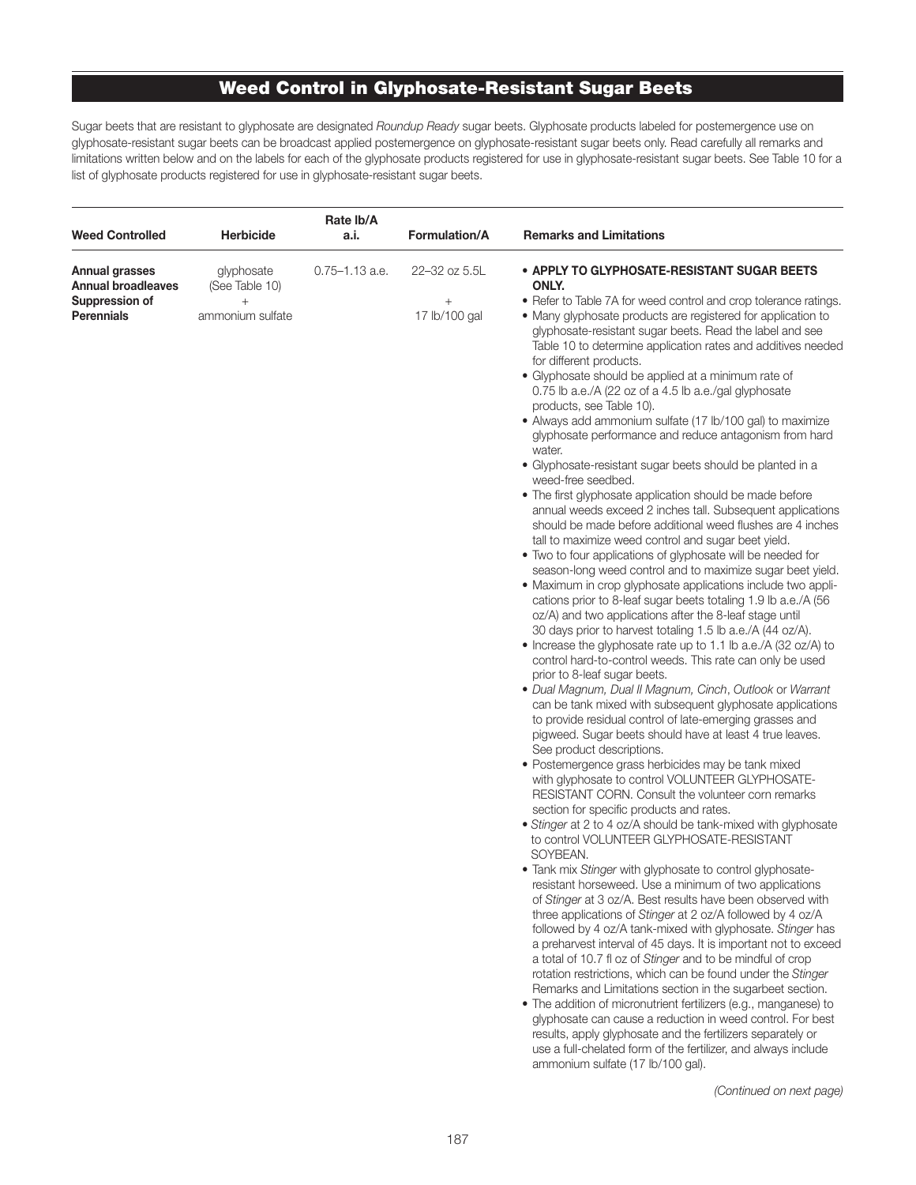### Weed Control in Glyphosate-Resistant Sugar Beets

Sugar beets that are resistant to glyphosate are designated *Roundup Ready* sugar beets. Glyphosate products labeled for postemergence use on glyphosate-resistant sugar beets can be broadcast applied postemergence on glyphosate-resistant sugar beets only. Read carefully all remarks and limitations written below and on the labels for each of the glyphosate products registered for use in glyphosate-resistant sugar beets. See Table 10 for a list of glyphosate products registered for use in glyphosate-resistant sugar beets.

| <b>Weed Controlled</b>                                                             | <b>Herbicide</b>                                           | Rate Ib/A<br>a.i.  | <b>Formulation/A</b>                     | <b>Remarks and Limitations</b>                                                                                                                                                                                                                                                                                                                                                                                                                                                                                                                                                                                                                                                                                                                                                                                                                                                                                                                                                                                                                                                                                                                                                                                                                                                                                                                                                                                                                                                                                                                                                                                                                                                                                                                                                                                                                                                                                                                                                                                                                                                                                                                                                                                                                                                                                                                                                                                                                                                                                                                                                                                                                                                                                                                                                                                                                                                                                                                                                                                                    |
|------------------------------------------------------------------------------------|------------------------------------------------------------|--------------------|------------------------------------------|-----------------------------------------------------------------------------------------------------------------------------------------------------------------------------------------------------------------------------------------------------------------------------------------------------------------------------------------------------------------------------------------------------------------------------------------------------------------------------------------------------------------------------------------------------------------------------------------------------------------------------------------------------------------------------------------------------------------------------------------------------------------------------------------------------------------------------------------------------------------------------------------------------------------------------------------------------------------------------------------------------------------------------------------------------------------------------------------------------------------------------------------------------------------------------------------------------------------------------------------------------------------------------------------------------------------------------------------------------------------------------------------------------------------------------------------------------------------------------------------------------------------------------------------------------------------------------------------------------------------------------------------------------------------------------------------------------------------------------------------------------------------------------------------------------------------------------------------------------------------------------------------------------------------------------------------------------------------------------------------------------------------------------------------------------------------------------------------------------------------------------------------------------------------------------------------------------------------------------------------------------------------------------------------------------------------------------------------------------------------------------------------------------------------------------------------------------------------------------------------------------------------------------------------------------------------------------------------------------------------------------------------------------------------------------------------------------------------------------------------------------------------------------------------------------------------------------------------------------------------------------------------------------------------------------------------------------------------------------------------------------------------------------------|
| Annual grasses<br><b>Annual broadleaves</b><br>Suppression of<br><b>Perennials</b> | glyphosate<br>(See Table 10)<br>$^{+}$<br>ammonium sulfate | $0.75 - 1.13$ a.e. | 22-32 oz 5.5L<br>$^{+}$<br>17 lb/100 gal | • APPLY TO GLYPHOSATE-RESISTANT SUGAR BEETS<br>ONLY.<br>• Refer to Table 7A for weed control and crop tolerance ratings.<br>• Many glyphosate products are registered for application to<br>glyphosate-resistant sugar beets. Read the label and see<br>Table 10 to determine application rates and additives needed<br>for different products.<br>• Glyphosate should be applied at a minimum rate of<br>0.75 lb a.e./A (22 oz of a 4.5 lb a.e./gal glyphosate<br>products, see Table 10).<br>• Always add ammonium sulfate (17 lb/100 gal) to maximize<br>glyphosate performance and reduce antagonism from hard<br>water.<br>• Glyphosate-resistant sugar beets should be planted in a<br>weed-free seedbed.<br>• The first glyphosate application should be made before<br>annual weeds exceed 2 inches tall. Subsequent applications<br>should be made before additional weed flushes are 4 inches<br>tall to maximize weed control and sugar beet yield.<br>• Two to four applications of glyphosate will be needed for<br>season-long weed control and to maximize sugar beet yield.<br>• Maximum in crop glyphosate applications include two appli-<br>cations prior to 8-leaf sugar beets totaling 1.9 lb a.e./A (56)<br>oz/A) and two applications after the 8-leaf stage until<br>30 days prior to harvest totaling 1.5 lb a.e./A (44 oz/A).<br>• Increase the glyphosate rate up to 1.1 lb a.e./A (32 oz/A) to<br>control hard-to-control weeds. This rate can only be used<br>prior to 8-leaf sugar beets.<br>• Dual Magnum, Dual II Magnum, Cinch, Outlook or Warrant<br>can be tank mixed with subsequent glyphosate applications<br>to provide residual control of late-emerging grasses and<br>pigweed. Sugar beets should have at least 4 true leaves.<br>See product descriptions.<br>• Postemergence grass herbicides may be tank mixed<br>with glyphosate to control VOLUNTEER GLYPHOSATE-<br>RESISTANT CORN. Consult the volunteer corn remarks<br>section for specific products and rates.<br>• Stinger at 2 to 4 oz/A should be tank-mixed with glyphosate<br>to control VOLUNTEER GLYPHOSATE-RESISTANT<br>SOYBEAN.<br>• Tank mix Stinger with glyphosate to control glyphosate-<br>resistant horseweed. Use a minimum of two applications<br>of Stinger at 3 oz/A. Best results have been observed with<br>three applications of Stinger at 2 oz/A followed by 4 oz/A<br>followed by 4 oz/A tank-mixed with glyphosate. Stinger has<br>a preharvest interval of 45 days. It is important not to exceed<br>a total of 10.7 fl oz of Stinger and to be mindful of crop<br>rotation restrictions, which can be found under the Stinger<br>Remarks and Limitations section in the sugarbeet section.<br>• The addition of micronutrient fertilizers (e.g., manganese) to<br>glyphosate can cause a reduction in weed control. For best<br>results, apply glyphosate and the fertilizers separately or<br>use a full-chelated form of the fertilizer, and always include<br>ammonium sulfate (17 lb/100 gal). |